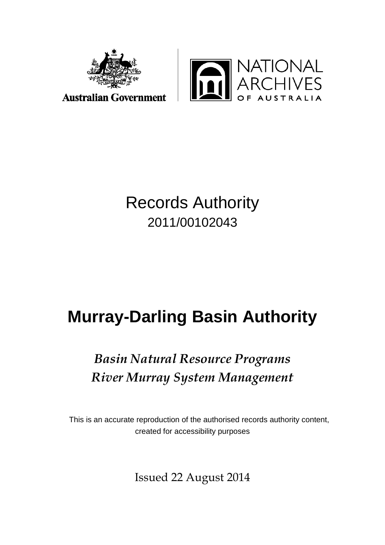



# Records Authority 2011/00102043

# **Murray-Darling Basin Authority**

# *Basin Natural Resource Programs River Murray System Management*

This is an accurate reproduction of the authorised records authority content, created for accessibility purposes

Issued 22 August 2014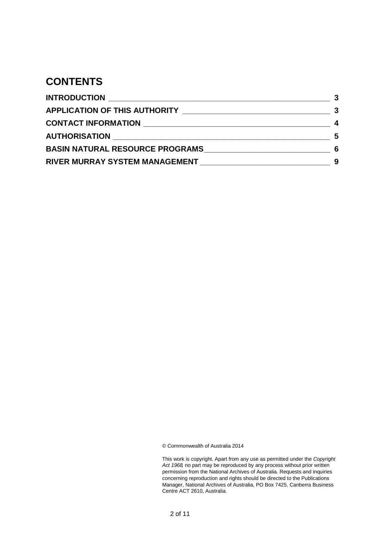### **CONTENTS**

|                                                                                                                | $\overline{\mathbf{3}}$ |
|----------------------------------------------------------------------------------------------------------------|-------------------------|
| CONTACT INFORMATION NAMES AND RESERVE TO A RESERVE THE RESERVE TO A REPORT OF THE RESERVE TO A REPORT OF THE R | 4                       |
|                                                                                                                | - 5                     |
| <b>BASIN NATURAL RESOURCE PROGRAMS</b>                                                                         | -6                      |
| RIVER MURRAY SYSTEM MANAGEMENT MARRIELLA AND ANN AN EXAMPLE AND THE RESERVE THE RESERVE THE RESERVE THAT A RES | 9                       |

© Commonwealth of Australia 2014

| This work is copyright. Apart from any use as permitted under the <i>Copyright</i> |
|------------------------------------------------------------------------------------|
| Act 1968, no part may be reproduced by any process without prior written           |
| permission from the National Archives of Australia. Requests and inquiries         |
| concerning reproduction and rights should be directed to the Publications          |
| Manager, National Archives of Australia, PO Box 7425, Canberra Business            |
| Centre ACT 2610. Australia.                                                        |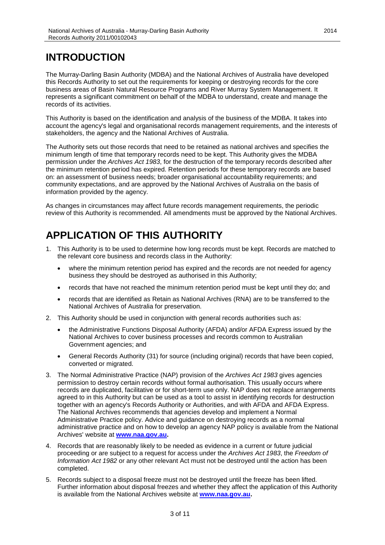### <span id="page-2-0"></span>**INTRODUCTION**

The Murray-Darling Basin Authority (MDBA) and the National Archives of Australia have developed this Records Authority to set out the requirements for keeping or destroying records for the core business areas of Basin Natural Resource Programs and River Murray System Management. It represents a significant commitment on behalf of the MDBA to understand, create and manage the records of its activities.

This Authority is based on the identification and analysis of the business of the MDBA. It takes into account the agency's legal and organisational records management requirements, and the interests of stakeholders, the agency and the National Archives of Australia.

The Authority sets out those records that need to be retained as national archives and specifies the minimum length of time that temporary records need to be kept. This Authority gives the MDBA permission under the *Archives Act 1983*, for the destruction of the temporary records described after the minimum retention period has expired. Retention periods for these temporary records are based on: an assessment of business needs; broader organisational accountability requirements; and community expectations, and are approved by the National Archives of Australia on the basis of information provided by the agency.

As changes in circumstances may affect future records management requirements, the periodic review of this Authority is recommended. All amendments must be approved by the National Archives.

## <span id="page-2-1"></span>**APPLICATION OF THIS AUTHORITY**

- 1. This Authority is to be used to determine how long records must be kept. Records are matched to the relevant core business and records class in the Authority:
	- where the minimum retention period has expired and the records are not needed for agency business they should be destroyed as authorised in this Authority;
	- records that have not reached the minimum retention period must be kept until they do; and
	- records that are identified as Retain as National Archives (RNA) are to be transferred to the National Archives of Australia for preservation.
- 2. This Authority should be used in conjunction with general records authorities such as:
	- the Administrative Functions Disposal Authority (AFDA) and/or AFDA Express issued by the National Archives to cover business processes and records common to Australian Government agencies; and
	- General Records Authority (31) for source (including original) records that have been copied, converted or migrated.
- 3. The Normal Administrative Practice (NAP) provision of the *Archives Act 1983* gives agencies permission to destroy certain records without formal authorisation. This usually occurs where records are duplicated, facilitative or for short-term use only. NAP does not replace arrangements agreed to in this Authority but can be used as a tool to assist in identifying records for destruction together with an agency's Records Authority or Authorities, and with AFDA and AFDA Express. The National Archives recommends that agencies develop and implement a Normal Administrative Practice policy. Advice and guidance on destroying records as a normal administrative practice and on how to develop an agency NAP policy is available from the National Archives' website at **[www.naa.gov.au.](http://www.naa.gov.au/)**
- 4. Records that are reasonably likely to be needed as evidence in a current or future judicial proceeding or are subject to a request for access under the *Archives Act 1983*, the *Freedom of Information Act 1982* or any other relevant Act must not be destroyed until the action has been completed.
- 5. Records subject to a disposal freeze must not be destroyed until the freeze has been lifted. Further information about disposal freezes and whether they affect the application of this Authority is available from the National Archives website at **[www.naa.gov.au.](http://www.naa.gov.au/)**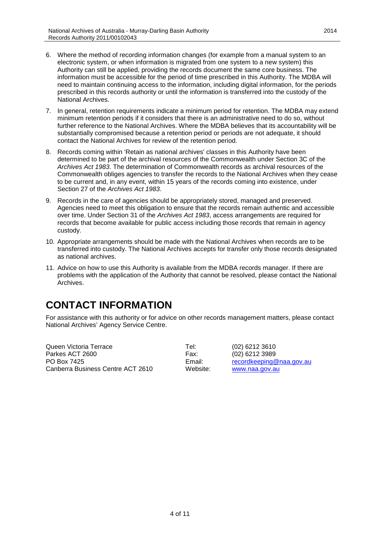- 6. Where the method of recording information changes (for example from a manual system to an electronic system, or when information is migrated from one system to a new system) this Authority can still be applied, providing the records document the same core business. The information must be accessible for the period of time prescribed in this Authority. The MDBA will need to maintain continuing access to the information, including digital information, for the periods prescribed in this records authority or until the information is transferred into the custody of the National Archives.
- 7. In general, retention requirements indicate a minimum period for retention. The MDBA may extend minimum retention periods if it considers that there is an administrative need to do so, without further reference to the National Archives. Where the MDBA believes that its accountability will be substantially compromised because a retention period or periods are not adequate, it should contact the National Archives for review of the retention period.
- 8. Records coming within 'Retain as national archives' classes in this Authority have been determined to be part of the archival resources of the Commonwealth under Section 3C of the *Archives Act 1983*. The determination of Commonwealth records as archival resources of the Commonwealth obliges agencies to transfer the records to the National Archives when they cease to be current and, in any event, within 15 years of the records coming into existence, under Section 27 of the *Archives Act 1983*.
- 9. Records in the care of agencies should be appropriately stored, managed and preserved. Agencies need to meet this obligation to ensure that the records remain authentic and accessible over time. Under Section 31 of the *Archives Act 1983*, access arrangements are required for records that become available for public access including those records that remain in agency custody.
- 10. Appropriate arrangements should be made with the National Archives when records are to be transferred into custody. The National Archives accepts for transfer only those records designated as national archives.
- 11. Advice on how to use this Authority is available from the MDBA records manager. If there are problems with the application of the Authority that cannot be resolved, please contact the National **Archives**

### <span id="page-3-0"></span>**CONTACT INFORMATION**

For assistance with this authority or for advice on other records management matters, please contact National Archives' Agency Service Centre.

Queen Victoria Terrace Tel: (02) 6212 3610 Parkes ACT 2600 PO Box 7425 **Email:** Finall: record keeping@naa.gov.au Email: record keeping@naa.gov.au Canberra Business Centre ACT 2610 Canberra Business Centre ACT 2610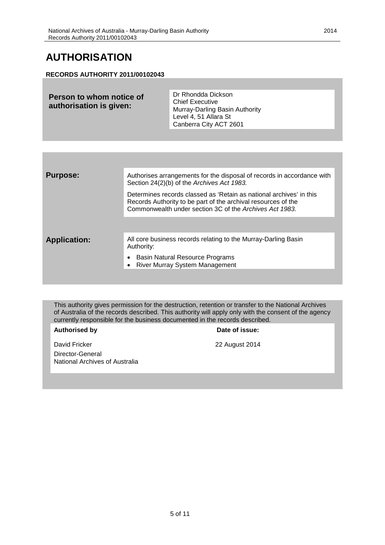### <span id="page-4-0"></span>**AUTHORISATION**

### **RECORDS AUTHORITY 2011/00102043**

| <b>Purpose:</b>     | Authorises arrangements for the disposal of records in accordance with<br>Section 24(2)(b) of the Archives Act 1983.                                                                            |
|---------------------|-------------------------------------------------------------------------------------------------------------------------------------------------------------------------------------------------|
|                     | Determines records classed as 'Retain as national archives' in this<br>Records Authority to be part of the archival resources of the<br>Commonwealth under section 3C of the Archives Act 1983. |
|                     |                                                                                                                                                                                                 |
| <b>Application:</b> | All core business records relating to the Murray-Darling Basin<br>Authority:                                                                                                                    |
|                     | Basin Natural Resource Programs<br>$\bullet$<br>• River Murray System Management                                                                                                                |
|                     |                                                                                                                                                                                                 |

This authority gives permission for the destruction, retention or transfer to the National Archives of Australia of the records described. This authority will apply only with the consent of the agency currently responsible for the business documented in the records described.

David Fricker 2014

#### Authorised by **Date of issue:**

Director-General National Archives of Australia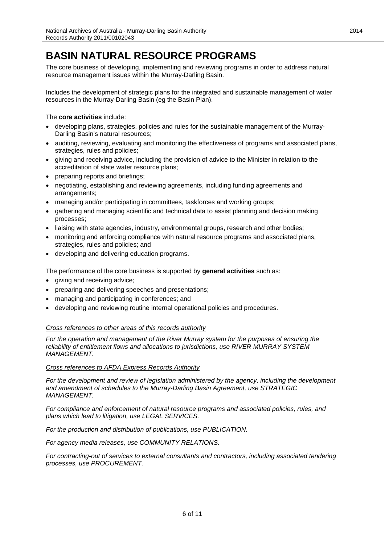### <span id="page-5-0"></span>**BASIN NATURAL RESOURCE PROGRAMS**

The core business of developing, implementing and reviewing programs in order to address natural resource management issues within the Murray-Darling Basin.

Includes the development of strategic plans for the integrated and sustainable management of water resources in the Murray-Darling Basin (eg the Basin Plan).

The **core activities** include:

- developing plans, strategies, policies and rules for the sustainable management of the Murray-Darling Basin's natural resources;
- auditing, reviewing, evaluating and monitoring the effectiveness of programs and associated plans, strategies, rules and policies;
- giving and receiving advice, including the provision of advice to the Minister in relation to the accreditation of state water resource plans;
- preparing reports and briefings;
- negotiating, establishing and reviewing agreements, including funding agreements and arrangements;
- managing and/or participating in committees, taskforces and working groups;
- gathering and managing scientific and technical data to assist planning and decision making processes;
- liaising with state agencies, industry, environmental groups, research and other bodies;
- monitoring and enforcing compliance with natural resource programs and associated plans, strategies, rules and policies; and
- developing and delivering education programs.

The performance of the core business is supported by **general activities** such as:

- giving and receiving advice;
- preparing and delivering speeches and presentations;
- managing and participating in conferences; and
- developing and reviewing routine internal operational policies and procedures.

#### *Cross references to other areas of this records authority*

*For the operation and management of the River Murray system for the purposes of ensuring the reliability of entitlement flows and allocations to jurisdictions, use RIVER MURRAY SYSTEM MANAGEMENT.*

#### *Cross references to AFDA Express Records Authority*

For the development and review of legislation administered by the agency, including the development *and amendment of schedules to the Murray-Darling Basin Agreement, use STRATEGIC MANAGEMENT.*

*For compliance and enforcement of natural resource programs and associated policies, rules, and plans which lead to litigation, use LEGAL SERVICES.*

*For the production and distribution of publications, use PUBLICATION.*

*For agency media releases, use COMMUNITY RELATIONS.*

*For contracting-out of services to external consultants and contractors, including associated tendering processes, use PROCUREMENT.*

2014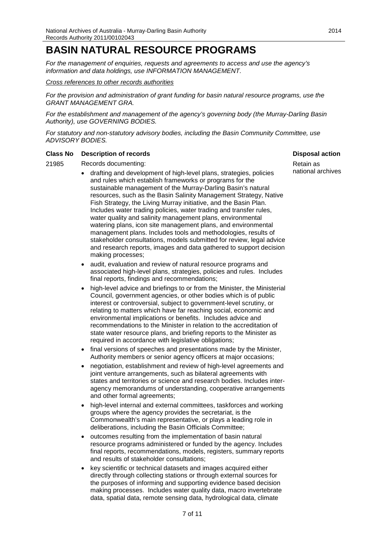### **BASIN NATURAL RESOURCE PROGRAMS**

*For the management of enquiries, requests and agreements to access and use the agency's information and data holdings, use INFORMATION MANAGEMENT.*

#### *Cross references to other records authorities*

*For the provision and administration of grant funding for basin natural resource programs, use the GRANT MANAGEMENT GRA.*

*For the establishment and management of the agency's governing body (the Murray-Darling Basin Authority), use GOVERNING BODIES.*

*For statutory and non-statutory advisory bodies, including the Basin Community Committee, use ADVISORY BODIES.*

#### **Class No Description of records Disposal action**

21985 Records documenting:

- drafting and development of high-level plans, strategies, policies and rules which establish frameworks or programs for the sustainable management of the Murray-Darling Basin's natural resources, such as the Basin Salinity Management Strategy, Native Fish Strategy, the Living Murray initiative, and the Basin Plan. Includes water trading policies, water trading and transfer rules, water quality and salinity management plans, environmental watering plans, icon site management plans, and environmental management plans. Includes tools and methodologies, results of stakeholder consultations, models submitted for review, legal advice and research reports, images and data gathered to support decision making processes;
- audit, evaluation and review of natural resource programs and associated high-level plans, strategies, policies and rules. Includes final reports, findings and recommendations;
- high-level advice and briefings to or from the Minister, the Ministerial Council, government agencies, or other bodies which is of public interest or controversial, subject to government-level scrutiny, or relating to matters which have far reaching social, economic and environmental implications or benefits. Includes advice and recommendations to the Minister in relation to the accreditation of state water resource plans, and briefing reports to the Minister as required in accordance with legislative obligations;
- final versions of speeches and presentations made by the Minister, Authority members or senior agency officers at major occasions;
- negotiation, establishment and review of high-level agreements and joint venture arrangements, such as bilateral agreements with states and territories or science and research bodies. Includes interagency memorandums of understanding, cooperative arrangements and other formal agreements;
- high-level internal and external committees, taskforces and working groups where the agency provides the secretariat, is the Commonwealth's main representative, or plays a leading role in deliberations, including the Basin Officials Committee;
- outcomes resulting from the implementation of basin natural resource programs administered or funded by the agency. Includes final reports, recommendations, models, registers, summary reports and results of stakeholder consultations;
- key scientific or technical datasets and images acquired either directly through collecting stations or through external sources for the purposes of informing and supporting evidence based decision making processes. Includes water quality data, macro invertebrate data, spatial data, remote sensing data, hydrological data, climate

Retain as

national archives

2014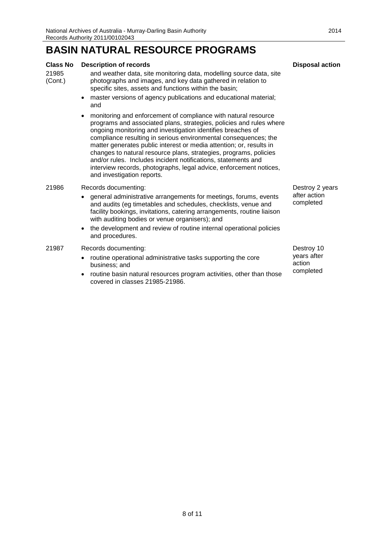### **BASIN NATURAL RESOURCE PROGRAMS**

#### **Class No Description of records Disposal action Disposal action**

21985 (Cont.)

- and weather data, site monitoring data, modelling source data, site photographs and images, and key data gathered in relation to specific sites, assets and functions within the basin;
	- master versions of agency publications and educational material; and
	- monitoring and enforcement of compliance with natural resource programs and associated plans, strategies, policies and rules where ongoing monitoring and investigation identifies breaches of compliance resulting in serious environmental consequences; the matter generates public interest or media attention; or, results in changes to natural resource plans, strategies, programs, policies and/or rules. Includes incident notifications, statements and interview records, photographs, legal advice, enforcement notices, and investigation reports.

#### 21986 Records documenting:

- general administrative arrangements for meetings, forums, events and audits (eg timetables and schedules, checklists, venue and facility bookings, invitations, catering arrangements, routine liaison with auditing bodies or venue organisers); and
- the development and review of routine internal operational policies and procedures.

#### 21987 Records documenting:

- routine operational administrative tasks supporting the core business; and
- routine basin natural resources program activities, other than those covered in classes 21985-21986.

Destroy 2 years after action completed

Destroy 10 years after action completed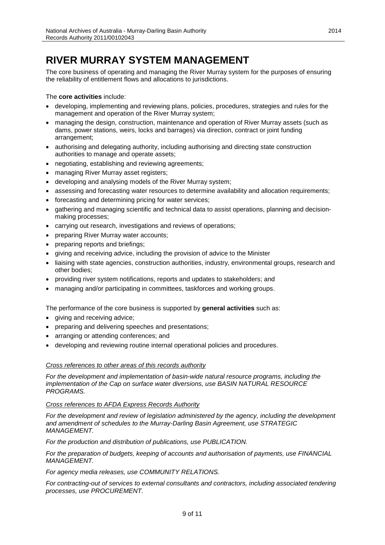### <span id="page-8-0"></span>**RIVER MURRAY SYSTEM MANAGEMENT**

The core business of operating and managing the River Murray system for the purposes of ensuring the reliability of entitlement flows and allocations to jurisdictions.

The **core activities** include:

- developing, implementing and reviewing plans, policies, procedures, strategies and rules for the management and operation of the River Murray system;
- managing the design, construction, maintenance and operation of River Murray assets (such as dams, power stations, weirs, locks and barrages) via direction, contract or joint funding arrangement;
- authorising and delegating authority, including authorising and directing state construction authorities to manage and operate assets;
- negotiating, establishing and reviewing agreements;
- managing River Murray asset registers;
- developing and analysing models of the River Murray system;
- assessing and forecasting water resources to determine availability and allocation requirements;
- forecasting and determining pricing for water services;
- gathering and managing scientific and technical data to assist operations, planning and decisionmaking processes;
- carrying out research, investigations and reviews of operations;
- preparing River Murray water accounts;
- preparing reports and briefings;
- giving and receiving advice, including the provision of advice to the Minister
- liaising with state agencies, construction authorities, industry, environmental groups, research and other bodies;
- providing river system notifications, reports and updates to stakeholders; and
- managing and/or participating in committees, taskforces and working groups.

The performance of the core business is supported by **general activities** such as:

- giving and receiving advice;
- preparing and delivering speeches and presentations;
- arranging or attending conferences; and
- developing and reviewing routine internal operational policies and procedures.

#### *Cross references to other areas of this records authority*

*For the development and implementation of basin-wide natural resource programs, including the implementation of the Cap on surface water diversions, use BASIN NATURAL RESOURCE PROGRAMS.*

#### *Cross references to AFDA Express Records Authority*

For the development and review of legislation administered by the agency, including the development *and amendment of schedules to the Murray-Darling Basin Agreement, use STRATEGIC MANAGEMENT.*

*For the production and distribution of publications, use PUBLICATION.*

*For the preparation of budgets, keeping of accounts and authorisation of payments, use FINANCIAL MANAGEMENT.*

*For agency media releases, use COMMUNITY RELATIONS.*

*For contracting-out of services to external consultants and contractors, including associated tendering processes, use PROCUREMENT.*

2014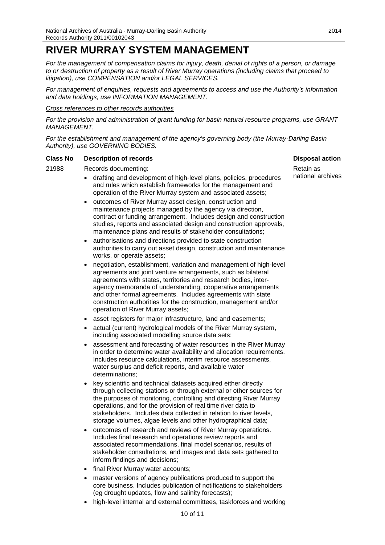### **RIVER MURRAY SYSTEM MANAGEMENT**

*For the management of compensation claims for injury, death, denial of rights of a person, or damage to or destruction of property as a result of River Murray operations (including claims that proceed to litigation), use COMPENSATION and/or LEGAL SERVICES.*

*For management of enquiries, requests and agreements to access and use the Authority's information and data holdings, use INFORMATION MANAGEMENT.*

#### *Cross references to other records authorities*

*For the provision and administration of grant funding for basin natural resource programs, use GRANT MANAGEMENT.*

*For the establishment and management of the agency's governing body (the Murray-Darling Basin Authority), use GOVERNING BODIES.*

### **Class No Description of records Disposal action Disposal action**

#### 21988 Records documenting:

- drafting and development of high-level plans, policies, procedures and rules which establish frameworks for the management and operation of the River Murray system and associated assets;
- outcomes of River Murray asset design, construction and maintenance projects managed by the agency via direction, contract or funding arrangement. Includes design and construction studies, reports and associated design and construction approvals, maintenance plans and results of stakeholder consultations;
- authorisations and directions provided to state construction authorities to carry out asset design, construction and maintenance works, or operate assets;
- negotiation, establishment, variation and management of high-level agreements and joint venture arrangements, such as bilateral agreements with states, territories and research bodies, interagency memoranda of understanding, cooperative arrangements and other formal agreements. Includes agreements with state construction authorities for the construction, management and/or operation of River Murray assets;
- asset registers for major infrastructure, land and easements;
- actual (current) hydrological models of the River Murray system, including associated modelling source data sets;
- assessment and forecasting of water resources in the River Murray in order to determine water availability and allocation requirements. Includes resource calculations, interim resource assessments, water surplus and deficit reports, and available water determinations;
- key scientific and technical datasets acquired either directly through collecting stations or through external or other sources for the purposes of monitoring, controlling and directing River Murray operations, and for the provision of real time river data to stakeholders. Includes data collected in relation to river levels, storage volumes, algae levels and other hydrographical data;
- outcomes of research and reviews of River Murray operations. Includes final research and operations review reports and associated recommendations, final model scenarios, results of stakeholder consultations, and images and data sets gathered to inform findings and decisions;
- final River Murray water accounts;
- master versions of agency publications produced to support the core business. Includes publication of notifications to stakeholders (eg drought updates, flow and salinity forecasts);
- high-level internal and external committees, taskforces and working

Retain as national archives